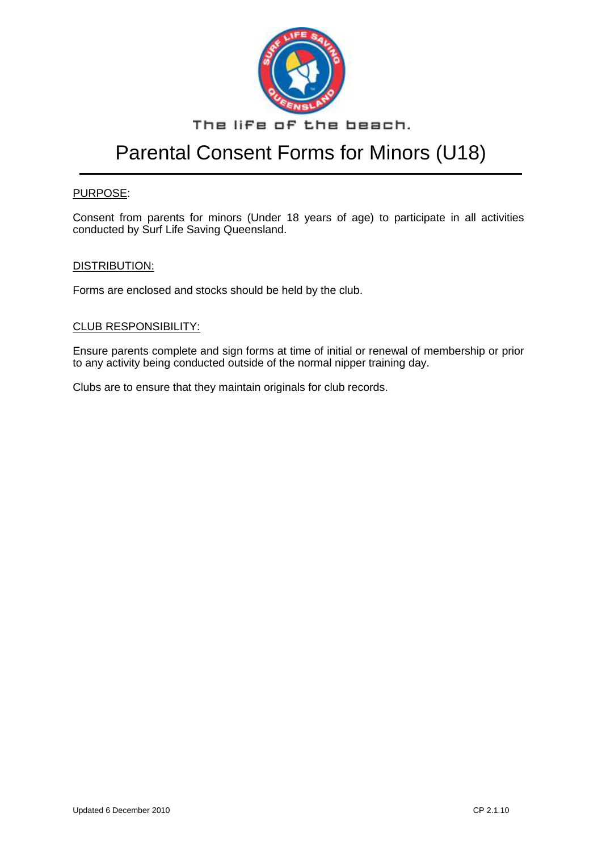

### The life of the beach.

## Parental Consent Forms for Minors (U18)

#### PURPOSE:

Consent from parents for minors (Under 18 years of age) to participate in all activities conducted by Surf Life Saving Queensland.

#### DISTRIBUTION:

Forms are enclosed and stocks should be held by the club.

#### CLUB RESPONSIBILITY:

Ensure parents complete and sign forms at time of initial or renewal of membership or prior to any activity being conducted outside of the normal nipper training day.

Clubs are to ensure that they maintain originals for club records.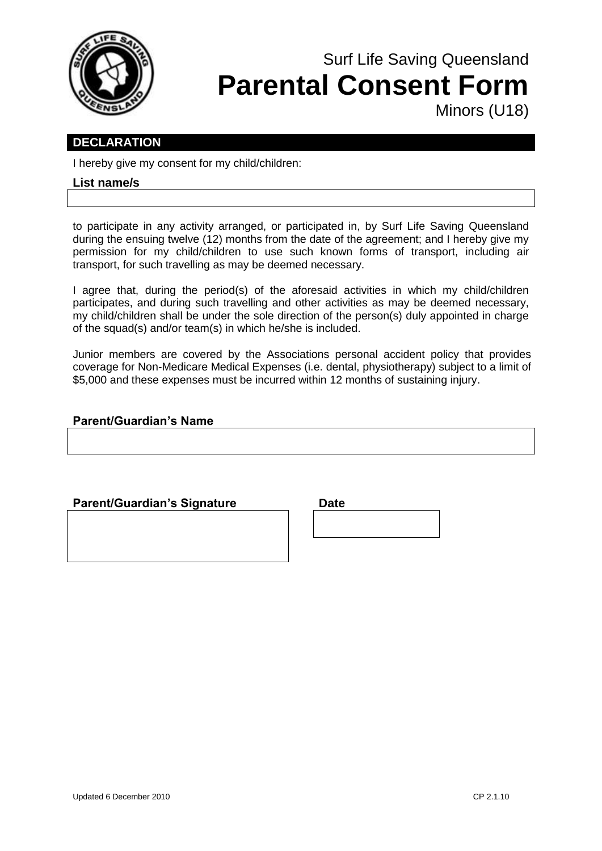

## Surf Life Saving Queensland **Parental Consent Form** Minors (U18)

### **DECLARATION**

I hereby give my consent for my child/children:

#### **List name/s**

to participate in any activity arranged, or participated in, by Surf Life Saving Queensland during the ensuing twelve (12) months from the date of the agreement; and I hereby give my permission for my child/children to use such known forms of transport, including air transport, for such travelling as may be deemed necessary.

I agree that, during the period(s) of the aforesaid activities in which my child/children participates, and during such travelling and other activities as may be deemed necessary, my child/children shall be under the sole direction of the person(s) duly appointed in charge of the squad(s) and/or team(s) in which he/she is included.

Junior members are covered by the Associations personal accident policy that provides coverage for Non-Medicare Medical Expenses (i.e. dental, physiotherapy) subject to a limit of \$5,000 and these expenses must be incurred within 12 months of sustaining injury.

#### **Parent/Guardian's Name**

#### **Parent/Guardian's Signature by Date**

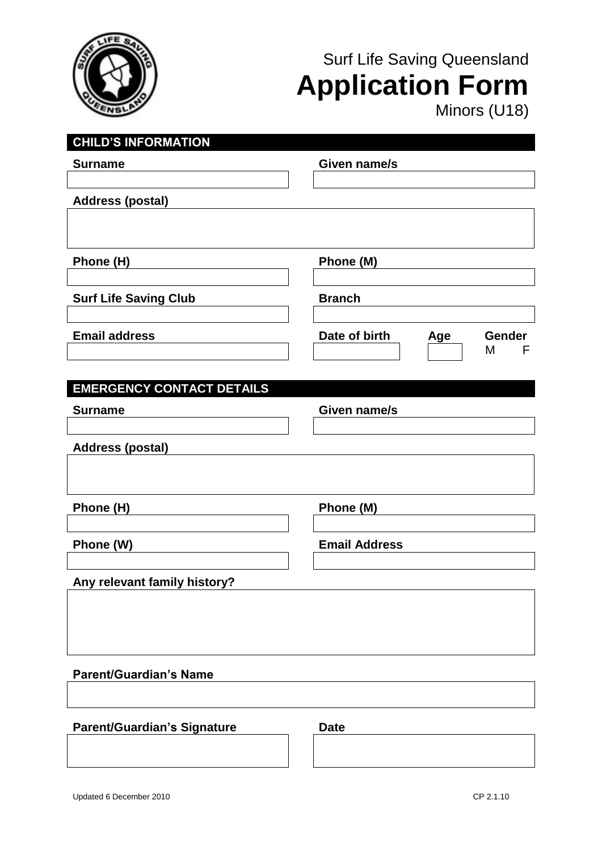

# Surf Life Saving Queensland **Application Form**

Minors (U18)

| <b>CHILD'S INFORMATION</b>         |                                       |
|------------------------------------|---------------------------------------|
| <b>Surname</b>                     | Given name/s                          |
|                                    |                                       |
| <b>Address (postal)</b>            |                                       |
|                                    |                                       |
|                                    |                                       |
|                                    |                                       |
| Phone (H)                          | Phone (M)                             |
|                                    |                                       |
| <b>Surf Life Saving Club</b>       | <b>Branch</b>                         |
|                                    |                                       |
| <b>Email address</b>               | Date of birth<br><b>Gender</b><br>Age |
|                                    | M<br>F                                |
|                                    |                                       |
| <b>EMERGENCY CONTACT DETAILS</b>   |                                       |
| <b>Surname</b>                     | Given name/s                          |
|                                    |                                       |
| <b>Address (postal)</b>            |                                       |
|                                    |                                       |
|                                    |                                       |
|                                    |                                       |
| Phone (H)                          | Phone (M)                             |
|                                    |                                       |
| Phone (W)                          | <b>Email Address</b>                  |
|                                    |                                       |
| Any relevant family history?       |                                       |
|                                    |                                       |
|                                    |                                       |
|                                    |                                       |
|                                    |                                       |
| <b>Parent/Guardian's Name</b>      |                                       |
|                                    |                                       |
|                                    |                                       |
| <b>Parent/Guardian's Signature</b> | <b>Date</b>                           |
|                                    |                                       |